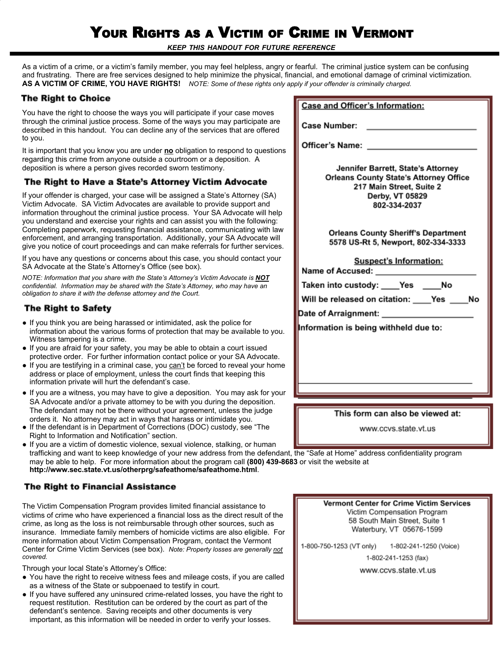# YOUR RIGHTS AS <sup>A</sup> VICTIM OF CRIME IN VERMONT

*KEEP THIS HANDOUT FOR FUTURE REFERENCE*

As a victim of a crime, or a victim's family member, you may feel helpless, angry or fearful. The criminal justice system can be confusing and frustrating. There are free services designed to help minimize the physical, finan **AS A VICTIM OF CRIME, YOU HAVE RIGHTS!** *NOTE: Some of these rights only apply if your offender is criminally charged.*

## **The Right to Choice**

You have the right to choose the ways you will participate if your case moves through the criminal justice process. Some of the ways you may participate are described in this handout. You can decline any of the services that are offered to you.

It is important that you know you are under **no** obligation to respond to questions regarding this crime from anyone outside a courtroom or a deposition. A deposition is where a person gives recorded sworn testimony.

## The Right to Have a State's Attorney Victim Advocate

If your offender is charged, your case will be assigned a State's Attorney (SA) Victim Advocate. SA Victim Advocates are available to provide support and information throughout the criminal justice process. Your SA Advocate will help you understand and exercise your rights and can assist you with the following: Completing paperwork, requesting financial assistance, communicating with law enforcement, and arranging transportation. Additionally, your SA Advocate will give you notice of court proceedings and can make referrals for further services.

If you have any questions or concerns about this case, you should contact your SA Advocate at the State's Attorney's Office (see box).

*NOTE: Information that you share with the State's Attorney's Victim Advocate is NOT confidential. Information may be shared with the State's Attorney, who may have an obligation to share it with the defense attorney and the Court.*

## **The Right to Safety**

- If you think you are being harassed or intimidated, ask the police for information about the various forms of protection that may be available to you. Witness tampering is a crime.
- If you are afraid for your safety, you may be able to obtain a court issued protective order. For further information contact police or your SA Advocate.
- If you are testifying in a criminal case, you can't be forced to reveal your home address or place of employment, unless the court finds that keeping this information private will hurt the defendant's case.
- If you are a witness, you may have to give a deposition. You may ask for your SA Advocate and/or a private attorney to be with you during the deposition. The defendant may not be there without your agreement, unless the judge orders it. No attorney may act in ways that harass or intimidate you.
- If the defendant is in Department of Corrections (DOC) custody, see "The Right to Information and Notification" section.
- If you are a victim of domestic violence, sexual violence, stalking, or human trafficking and want to keep knowledge of your new address from the defendant, the "Safe at Home" address confidentiality program may be able to help. For more information about the program call **(800) 439-8683** or visit the website at **http://www.sec.state.vt.us/otherprg/safeathome/safeathome.html**.

## **The Right to Financial Assistance**

The Victim Compensation Program provides limited financial assistance to victims of crime who have experienced a financial loss as the direct result of the crime, as long as the loss is not reimbursable through other sources, such as insurance. Immediate family members of homicide victims are also eligible. For more information about Victim Compensation Program, contact the Vermont Center for Crime Victim Services (see box). *Note: Property losses are generally not covered.*

Through your local State's Attorney's Office:

- You have the right to receive witness fees and mileage costs, if you are called as a witness of the State or subpoenaed to testify in court.
- If you have suffered any uninsured crime-related losses, you have the right to request restitution. Restitution can be ordered by the court as part of the defendant's sentence. Saving receipts and other documents is very important, as this information will be needed in order to verify your losses.

| icial, and emotional damage of criminal victimization.<br>y if your offender is criminally charged.                                                |
|----------------------------------------------------------------------------------------------------------------------------------------------------|
| <b>Case and Officer's Information:</b>                                                                                                             |
| <b>Case Number:</b>                                                                                                                                |
| <b>Officer's Name:</b>                                                                                                                             |
| Jennifer Barrett, State's Attorney<br><b>Orleans County State's Attorney Office</b><br>217 Main Street, Suite 2<br>Derby, VT 05829<br>802-334-2037 |
| <b>Orleans County Sheriff's Department</b><br>5578 US-Rt 5, Newport, 802-334-3333                                                                  |
| <b>Suspect's Information:</b><br>Name of Accused:                                                                                                  |
| Taken into custody: ____Yes ____No                                                                                                                 |
| Will be released on citation: ____ Yes ____ No<br>Date of Arraignment: ___________________                                                         |
| Information is being withheld due to:                                                                                                              |
|                                                                                                                                                    |
|                                                                                                                                                    |
|                                                                                                                                                    |
|                                                                                                                                                    |

#### This form can also be viewed at:

www.ccvs.state.vt.us

Vermont Center for Crime Victim Services Victim Compensation Program 58 South Main Street, Suite 1 Waterbury, VT 05676-1599

1-800-750-1253 (VT only) 1-802-241-1250 (Voice)

1-802-241-1253 (fax)

www.ccvs.state.vt.us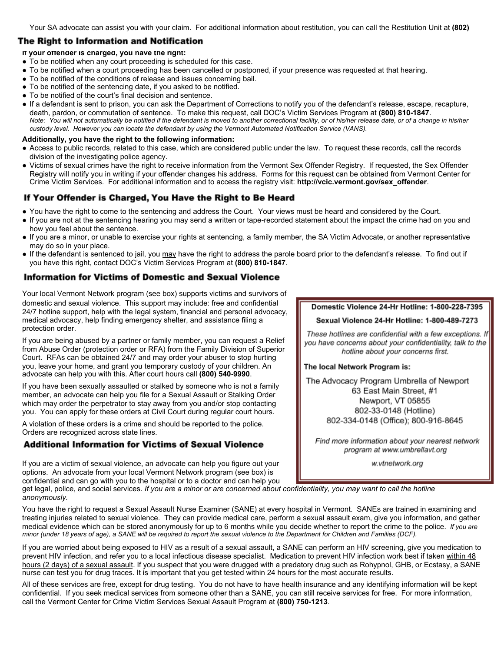## **The Right to Information and Notification**

#### **If your offender is charged, you have the right:**

- To be notified when any court proceeding is scheduled for this case.
- To be notified when a court proceeding has been cancelled or postponed, if your presence was requested at that hearing.
- To be notified of the conditions of release and issues concerning bail.
- To be notified of the sentencing date, if you asked to be notified.
- To be notified of the court's final decision and sentence.
- If a defendant is sent to prison, you can ask the Department of Corrections to notify you of the defendant's release, escape, recapture, death, pardon, or commutation of sentence. To make this request, call DOC's Victim Services Program at **(800) 810-1847**. Note: You will not automatically be notified if the defendant is moved to another correctional facility, or of his/her release date, or of a change in his/her *custody level. However you can locate the defendant by using the Vermont Automated Notification Service (VANS).*

#### **Additionally, you have the right to the following information:**

- Access to public records, related to this case, which are considered public under the law. To request these records, call the records division of the investigating police agency.
- Victims of sexual crimes have the right to receive information from the Vermont Sex Offender Registry. If requested, the Sex Offender Registry will notify you in writing if your offender changes his address. Forms for this request can be obtained from Vermont Center for Crime Victim Services. For additional information and to access the registry visit: **[http://vcic.vermont.gov/sex\\_offender](http://vcic.vermont.gov/sex_offender)**.

## If Your Offender is Charged, You Have the Right to Be Heard

- You have the right to come to the sentencing and address the Court. Your views must be heard and considered by the Court.
- If you are not at the sentencing hearing you may send a written or tape-recorded statement about the impact the crime had on you and how you feel about the sentence.
- If you are a minor, or unable to exercise your rights at sentencing, a family member, the SA Victim Advocate, or another representative may do so in your place.
- If the defendant is sentenced to jail, you may have the right to address the parole board prior to the defendant's release. To find out if you have this right, contact DOC's Victim Services Program at **(800) 810-1847**.

## **Information for Victims of Domestic and Sexual Violence**

Your local Vermont Network program (see box) supports victims and survivors of domestic and sexual violence. This support may include: free and confidential 24/7 hotline support, help with the legal system, financial and personal advocacy, medical advocacy, help finding emergency shelter, and assistance filing a protection order.

If you are being abused by a partner or family member, you can request a Relief from Abuse Order (protection order or RFA) from the Family Division of Superior Court. RFAs can be obtained 24/7 and may order your abuser to stop hurting you, leave your home, and grant you temporary custody of your children. An advocate can help you with this. After court hours call **(800) 540-9990**.

If you have been sexually assaulted or stalked by someone who is not a family member, an advocate can help you file for a Sexual Assault or Stalking Order which may order the perpetrator to stay away from you and/or stop contacting you. You can apply for these orders at Civil Court during regular court hours.

A violation of these orders is a crime and should be reported to the police. Orders are recognized across state lines.

## **Additional Information for Victims of Sexual Violence**

If you are a victim of sexual violence, an advocate can help you figure out your options. An advocate from your local Vermont Network program (see box) is confidential and can go with you to the hospital or to a doctor and can help you

### Domestic Violence 24-Hr Hotline: 1-800-228-7395

#### Sexual Violence 24-Hr Hotline: 1-800-489-7273

These hotlines are confidential with a few exceptions. If you have concerns about your confidentiality, talk to the hotline about your concerns first.

#### The local Network Program is:

The Advocacy Program Umbrella of Newport 63 East Main Street, #1 Newport, VT 05855 802-33-0148 (Hotline) 802-334-0148 (Office); 800-916-8645

Find more information about your nearest network program at www.umbrellavt.org

w.vtnetwork.org

get legal, police, and social services. *If you are a minor or are concerned about confidentiality, you may want to call the hotline anonymously.*

You have the right to request a Sexual Assault Nurse Examiner (SANE) at every hospital in Vermont. SANEs are trained in examining and treating injuries related to sexual violence. They can provide medical care, perform a sexual assault exam, give you information, and gather medical evidence which can be stored anonymously for up to 6 months while you decide whether to report the crime to the police. *If you are* minor (under 18 years of age), a SANE will be required to report the sexual violence to the Department for Children and Families (DCF).

If you are worried about being exposed to HIV as a result of a sexual assault, a SANE can perform an HIV screening, give you medication to prevent HIV infection, and refer you to a local infectious disease specialist. Medication to prevent HIV infection work best if taken within 48 hours (2 days) of a sexual assault. If you suspect that you were drugged with a predatory drug such as Rohypnol, GHB, or Ecstasy, a SANE nurse can test you for drug traces. It is important that you get tested within 24 hours for the most accurate results.

All of these services are free, except for drug testing. You do not have to have health insurance and any identifying information will be kept confidential. If you seek medical services from someone other than a SANE, you can still receive services for free. For more information, call the Vermont Center for Crime Victim Services Sexual Assault Program at **(800) 750-1213**.